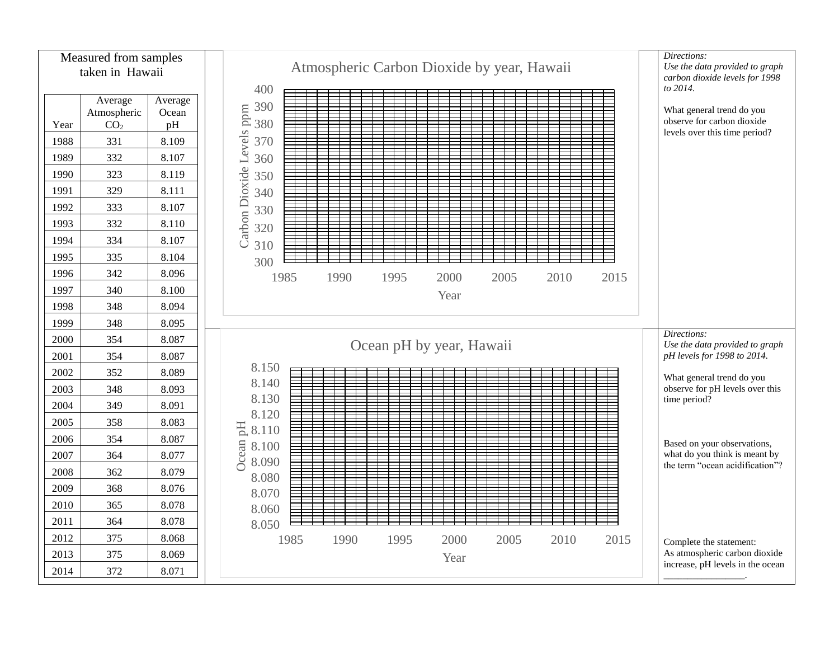